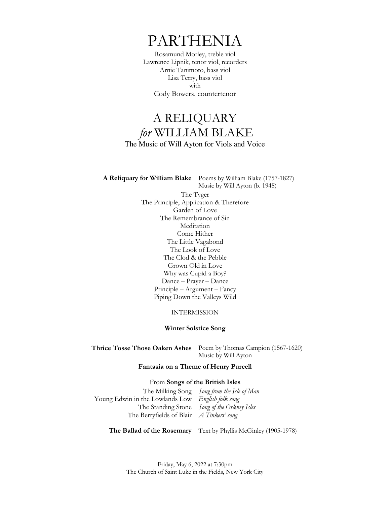# PARTHENIA

Rosamund Morley, treble viol Lawrence Lipnik, tenor viol, recorders Arnie Tanimoto, bass viol Lisa Terry, bass viol with Cody Bowers, countertenor

# A RELIQUARY *for* WILLIAM BLAKE The Music of Will Ayton for Viols and Voice

**A Reliquary for William Blake** Poems by William Blake (1757-1827) Music by Will Ayton (b. 1948)

> The Tyger The Principle, Application & Therefore Garden of Love The Remembrance of Sin **Meditation** Come Hither The Little Vagabond The Look of Love The Clod & the Pebble Grown Old in Love Why was Cupid a Boy? Dance – Prayer – Dance Principle – Argument – Fancy Piping Down the Valleys Wild

> > INTERMISSION

# **Winter Solstice Song**

**Thrice Tosse Those Oaken Ashes** Poem by Thomas Campion (1567-1620) Music by Will Ayton

**Fantasia on a Theme of Henry Purcell**

# From **Songs of the British Isles**

The Milking Song Young Edwin in the Lowlands Low The Standing Stone The Berryfields of Blair *Song from the Isle of Man English folk song Song of the Orkney Isles A Tinkers' song*

**The Ballad of the Rosemary** Text by Phyllis McGinley (1905-1978)

Friday, May 6, 2022 at 7:30pm The Church of Saint Luke in the Fields, New York City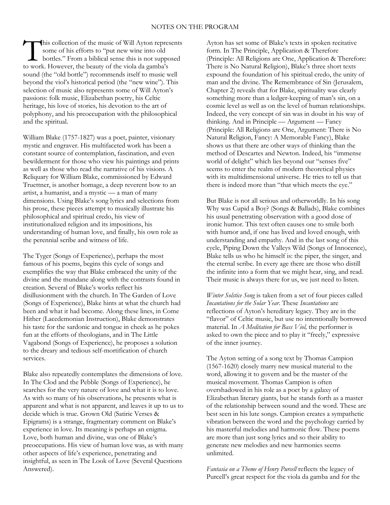his collection of the music of Will Ayton represents some of his efforts to "put new wine into old bottles." From a biblical sense this is not supposed This collection of the music of Will Ayton repressome of his efforts to "put new wine into old bottles." From a biblical sense this is not supped to work. However, the beauty of the viola da gamba's sound (the "old bottle") recommends itself to music well beyond the viol's historical period (the "new wine"). This selection of music also represents some of Will Ayton's passions: folk music, Elizabethan poetry, his Celtic heritage, his love of stories, his devotion to the art of polyphony, and his preoccupation with the philosophical and the spiritual.

William Blake (1757-1827) was a poet, painter, visionary mystic and engraver. His multifaceted work has been a constant source of contemplation, fascination, and even bewilderment for those who view his paintings and prints as well as those who read the narrative of his visions. A Reliquary for William Blake, commissioned by Edward Truettner, is another homage, a deep reverent bow to an artist, a humanist, and a mystic — a man of many dimensions. Using Blake's song lyrics and selections from his prose, these pieces attempt to musically illustrate his philosophical and spiritual credo, his view of institutionalized religion and its impositions, his understanding of human love, and finally, his own role as the perennial scribe and witness of life.

The Tyger (Songs of Experience), perhaps the most famous of his poems, begins this cycle of songs and exemplifies the way that Blake embraced the unity of the divine and the mundane along with the contrasts found in creation. Several of Blake's works reflect his disillusionment with the church. In The Garden of Love (Songs of Experience), Blake hints at what the church had been and what it had become. Along these lines, in Come Hither (Lacedemonian Instruction), Blake demonstrates his taste for the sardonic and tongue in cheek as he pokes fun at the efforts of theologians, and in The Little Vagabond (Songs of Experience), he proposes a solution to the dreary and tedious self-mortification of church services.

Blake also repeatedly contemplates the dimensions of love. In The Clod and the Pebble (Songs of Experience), he searches for the very nature of love and what it is to love. As with so many of his observations, he presents what is apparent and what is not apparent, and leaves it up to us to decide which is true. Grown Old (Satiric Verses & Epigrams) is a strange, fragmentary comment on Blake's experience in love. Its meaning is perhaps an enigma. Love, both human and divine, was one of Blake's preoccupations. His view of human love was, as with many other aspects of life's experience, penetrating and insightful, as seen in The Look of Love (Several Questions Answered).

Ayton has set some of Blake's texts in spoken recitative form. In The Principle, Application & Therefore (Principle: All Religions are One, Application & Therefore: There is No Natural Religion), Blake's three short texts expound the foundation of his spiritual credo, the unity of man and the divine. The Remembrance of Sin (Jerusalem, Chapter 2) reveals that for Blake, spirituality was clearly something more than a ledger-keeping of man's sin, on a cosmic level as well as on the level of human relationships. Indeed, the very concept of sin was in doubt in his way of thinking. And in Principle — Argument — Fancy (Principle: All Religions are One, Argument: There is No Natural Religion, Fancy: A Memorable Fancy), Blake shows us that there are other ways of thinking than the method of Descartes and Newton. Indeed, his "immense world of delight" which lies beyond our "senses five" seems to enter the realm of modern theoretical physics with its multidimensional universe. He tries to tell us that there is indeed more than "that which meets the eye."

But Blake is not all serious and otherworldly. In his song Why was Cupid a Boy? (Songs & Ballads), Blake combines his usual penetrating observation with a good dose of ironic humor. This text often causes one to smile both with humor and, if one has lived and loved enough, with understanding and empathy. And in the last song of this cycle, Piping Down the Valleys Wild (Songs of Innocence), Blake tells us who he himself is: the piper, the singer, and the eternal scribe. In every age there are those who distill the infinite into a form that we might hear, sing, and read. Their music is always there for us, we just need to listen.

*Winter Solstice Song* is taken from a set of four pieces called *Incantations for the Solar Year*. These *Incantations* are reflections of Ayton's hereditary legacy. They are in the "flavor" of Celtic music, but use no intentionally borrowed material. In *A Meditation for Bass Viol,* the performer is asked to own the piece and to play it "freely," expressive of the inner journey.

The Ayton setting of a song text by Thomas Campion (1567-1620) closely marry new musical material to the word, allowing it to govern and be the master of the musical movement. Thomas Campion is often overshadowed in his role as a poet by a galaxy of Elizabethan literary giants, but he stands forth as a master of the relationship between sound and the word. These are best seen in his lute songs. Campion creates a sympathetic vibration between the word and the psychology carried by his masterful melodies and harmonic flow. These poems are more than just song lyrics and so their ability to generate new melodies and new harmonies seems unlimited.

*Fantasia on a Theme of Henry Purcell* reflects the legacy of Purcell's great respect for the viola da gamba and for the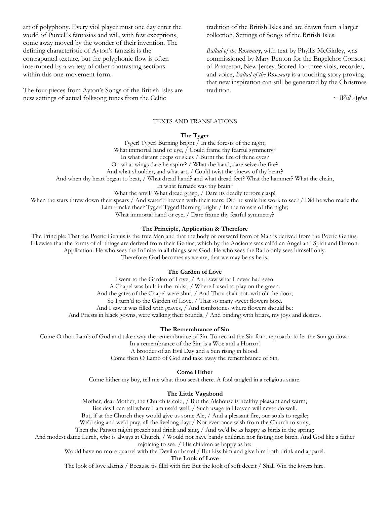art of polyphony. Every viol player must one day enter the world of Purcell's fantasias and will, with few exceptions, come away moved by the wonder of their invention. The defining characteristic of Ayton's fantasia is the contrapuntal texture, but the polyphonic flow is often interrupted by a variety of other contrasting sections within this one-movement form.

The four pieces from Ayton's Songs of the British Isles are new settings of actual folksong tunes from the Celtic

tradition of the British Isles and are drawn from a larger collection, Settings of Songs of the British Isles.

*Ballad of the Rosemary*, with text by Phyllis McGinley, was commissioned by Mary Benton for the Engelchor Consort of Princeton, New Jersey. Scored for three viols, recorder, and voice, *Ballad of the Rosemary* is a touching story proving that new inspiration can still be generated by the Christmas tradition.

~ *Will Ayton*

#### TEXTS AND TRANSLATIONS

#### **The Tyger**

Tyger! Tyger! Burning bright / In the forests of the night; What immortal hand or eye, / Could frame thy fearful symmetry? In what distant deeps or skies / Burnt the fire of thine eyes? On what wings dare he aspire? / What the hand, dare seize the fire? And what shoulder, and what art, / Could twist the sinews of thy heart? And when thy heart began to beat, / What dread hand? and what dread feet? What the hammer? What the chain, In what furnace was thy brain? What the anvil? What dread grasp, / Dare its deadly terrors clasp! When the stars threw down their spears / And water'd heaven with their tears: Did he smile his work to see? / Did he who made the

Lamb make thee? Tyger! Tyger! Burning bright / In the forests of the night;

What immortal hand or eye, / Dare frame thy fearful symmetry?

#### **The Principle, Application & Therefore**

The Principle: That the Poetic Genius is the true Man and that the body or outward form of Man is derived from the Poetic Genius. Likewise that the forms of all things are derived from their Genius, which by the Ancients was call'd an Angel and Spirit and Demon. Application: He who sees the Infinite in all things sees God. He who sees the Ratio only sees himself only. Therefore: God becomes as we are, that we may be as he is.

# **The Garden of Love**

I went to the Garden of Love, / And saw what I never had seen: A Chapel was built in the midst, / Where I used to play on the green. And the gates of the Chapel were shut, / And Thou shalt not. writ o'r the door; So I turn'd to the Garden of Love, / That so many sweet flowers bore. And I saw it was filled with graves, / And tombstones where flowers should be: And Priests in black gowns, were walking their rounds, / And binding with briars, my joys and desires.

#### **The Remembrance of Sin**

Come O thou Lamb of God and take away the remembrance of Sin. To record the Sin for a reproach: to let the Sun go down In a remembrance of the Sin: is a Woe and a Horror! A brooder of an Evil Day and a Sun rising in blood. Come then O Lamb of God and take away the remembrance of Sin.

# **Come Hither**

Come hither my boy, tell me what thou seest there. A fool tangled in a religious snare.

#### **The Little Vagabond**

Mother, dear Mother, the Church is cold, / But the Alehouse is healthy pleasant and warm;

Besides I can tell where I am use'd well, / Such usage in Heaven will never do well.

But, if at the Church they would give us some Ale, / And a pleasant fire, our souls to regale;

We'd sing and we'd pray, all the livelong day; / Nor ever once wish from the Church to stray,

Then the Parson might preach and drink and sing, / And we'd be as happy as birds in the spring:

And modest dame Lurch, who is always at Church, / Would not have bandy children nor fasting nor birch. And God like a father rejoicing to see, / His children as happy as he:

Would have no more quarrel with the Devil or barrel / But kiss him and give him both drink and apparel.

**The Look of Love**

The look of love alarms / Because tis filld with fire But the look of soft deceit / Shall Win the lovers hire.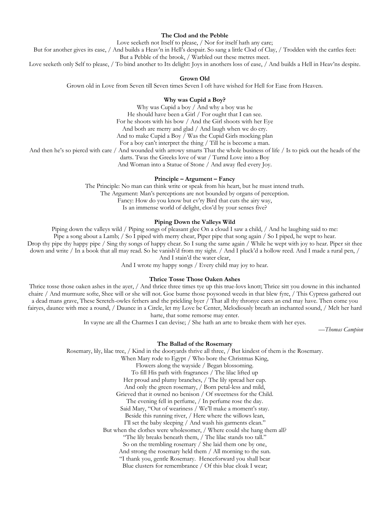#### **The Clod and the Pebble**

Love seeketh not Itself to please, / Nor for itself hath any care;

But for another gives its ease, / And builds a Heav'n in Hell's despair. So sang a little Clod of Clay, / Trodden with the cattles feet:

But a Pebble of the brook, / Warbled out these metres meet.

Love seeketh only Self to please, / To bind another to Its delight: Joys in anothers loss of ease, / And builds a Hell in Heav'ns despite.

#### **Grown Old**

Grown old in Love from Seven till Seven times Seven I oft have wished for Hell for Ease from Heaven.

#### **Why was Cupid a Boy?**

Why was Cupid a boy / And why a boy was he He should have been a Girl / For ought that I can see. For he shoots with his bow / And the Girl shoots with her Eye And both are merry and glad / And laugh when we do cry. And to make Cupid a Boy  $\bar{/}$  Was the Cupid Girls mocking plan For a boy can't interpret the thing / Till he is become a man.

And then he's so piercd with care / And wounded with arrowy smarts That the whole business of life / Is to pick out the heads of the

darts. Twas the Greeks love of war / Turnd Love into a Boy

And Woman into a Statue of Stone / And away fled every Joy.

# **Principle – Argument – Fancy**

The Principle: No man can think write or speak from his heart, but he must intend truth. The Argument: Man's perceptions are not bounded by organs of perception. Fancy: How do you know but ev'ry Bird that cuts the airy way, Is an immense world of delight, clos'd by your senses five?

#### **Piping Down the Valleys Wild**

Piping down the valleys wild / Piping songs of pleasant glee On a cloud I saw a child, / And he laughing said to me:

Pipe a song about a Lamb; / So I piped with merry chear, Piper pipe that song again / So I piped, he wept to hear.

Drop thy pipe thy happy pipe / Sing thy songs of happy chear. So I sung the same again / While he wept with joy to hear. Piper sit thee down and write / In a book that all may read. So he vanish'd from my sight. / And I pluck'd a hollow reed. And I made a rural pen, /

And I stain'd the water clear,

And I wrote my happy songs / Every child may joy to hear.

#### **Thrice Tosse Those Oaken Ashes**

Thrice tosse those oaken ashes in the ayer, / And thrice three times tye up this true-lovs knott; Thrice sitt you downe in this inchanted chaire / And murmure softe, Shee will or she will not. Goe burne those poysoned weeds in that blew fyre, / This Cypress gathered out a dead mans grave, These Scretch-owles fethers and the prickling byer / That all thy thronye cares an end may have. Then come you fairyes, daunce with mee a round, / Daunce in a Circle, let my Love be Center, Melodiously breath an inchanted sound, / Melt her hard harte, that some remorse may enter.

In vayne are all the Charmes I can devise; / She hath an arte to breake them with her eyes.

—*Thomas Campion* 

#### **The Ballad of the Rosemary**

Rosemary, lily, lilac tree, / Kind in the dooryards thrive all three, / But kindest of them is the Rosemary. When Mary rode to Egypt / Who bore the Christmas King, Flowers along the wayside / Began blossoming. To fill His path with fragrances / The lilac lifted up Her proud and plumy branches, / The lily spread her cup. And only the green rosemary, / Born petal-less and mild, Grieved that it owned no benison / Of sweetness for the Child. The evening fell in perfume, / In perfume rose the day. Said Mary, "Out of weariness / We'll make a moment's stay. Beside this running river, / Here where the willows lean, I'll set the baby sleeping / And wash his garments clean." But when the clothes were wholesomer, / Where could she hang them all? "The lily breaks beneath them, / The lilac stands too tall." So on the trembling rosemary / She laid them one by one, And strong the rosemary held them / All morning to the sun. "I thank you, gentle Rosemary. Henceforward you shall bear Blue clusters for remembrance / Of this blue cloak I wear;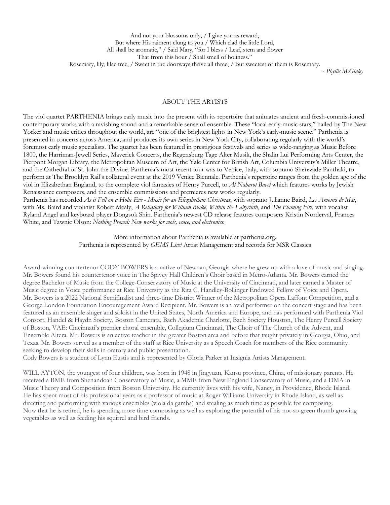*~ Phyllis McGinley*

# ABOUT THE ARTISTS

The viol quartet PARTHENIA brings early music into the present with its repertoire that animates ancient and fresh-commissioned contemporary works with a ravishing sound and a remarkable sense of ensemble. These "local early-music stars," hailed by The New Yorker and music critics throughout the world, are "one of the brightest lights in New York's early-music scene." Parthenia is presented in concerts across America, and produces its own series in New York City, collaborating regularly with the world's foremost early music specialists. The quartet has been featured in prestigious festivals and series as wide-ranging as Music Before 1800, the Harriman-Jewell Series, Maverick Concerts, the Regensburg Tage Alter Musik, the Shalin Lui Performing Arts Center, the Pierpont Morgan Library, the Metropolitan Museum of Art, the Yale Center for British Art, Columbia University's Miller Theatre, and the Cathedral of St. John the Divine. Parthenia's most recent tour was to Venice, Italy, with soprano Sherezade Panthaki, to perform at The Brooklyn Rail's collateral event at the 2019 Venice Biennale. Parthenia's repertoire ranges from the golden age of the viol in Elizabethan England, to the complete viol fantasies of Henry Purcell, to *Al Naharot Bavel* which features works by Jewish Renaissance composers, and the ensemble commissions and premieres new works regularly.

Parthenia has recorded *As it Fell on a Holie Eve* - *Music for an Elizabethan Christmas*, with soprano Julianne Baird, *Les Amours de Mai*, with Ms. Baird and violinist Robert Mealy, *A Reliquary for William Blake*, *Within the Labyrinth*, and *The Flaming Fire,* with vocalist Ryland Angel and keyboard player Dongsok Shin. Parthenia's newest CD release features composers Kristin Norderval, Frances White, and Tawnie Olson: *Nothing Proved: New works for viols, voice, and electronics.* 

> More information about Parthenia is available at parthenia.org. Parthenia is represented by *GEMS Live!* Artist Management and records for MSR Classics

Award-winning countertenor CODY BOWERS is a native of Newnan, Georgia where he grew up with a love of music and singing. Mr. Bowers found his countertenor voice in The Spivey Hall Children's Choir based in Metro-Atlanta. Mr. Bowers earned the degree Bachelor of Music from the College-Conservatory of Music at the University of Cincinnati, and later earned a Master of Music degree in Voice performance at Rice University as the Rita C. Handley-Bollinger Endowed Fellow of Voice and Opera. Mr. Bowers is a 2022 National Semifinalist and three-time District Winner of the Metropolitan Opera Laffont Competition, and a George London Foundation Encouragement Award Recipient. Mr. Bowers is an avid performer on the concert stage and has been featured as an ensemble singer and soloist in the United States, North America and Europe, and has performed with Parthenia Viol Consort, Handel & Haydn Society, Boston Camerata, Bach Akademie Charlotte, Bach Society Houston, The Henry Purcell Society of Boston, VAE: Cincinnati's premier choral ensemble, Collegium Cincinnati, The Choir of The Church of the Advent, and Ensemble Altera. Mr. Bowers is an active teacher in the greater Boston area and before that taught privately in Georgia, Ohio, and Texas. Mr. Bowers served as a member of the staff at Rice University as a Speech Coach for members of the Rice community seeking to develop their skills in oratory and public presentation.

Cody Bowers is a student of Lynn Eustis and is represented by Gloria Parker at Insignia Artists Management.

WILL AYTON, the youngest of four children, was born in 1948 in Jingyuan, Kansu province, China, of missionary parents. He received a BME from Shenandoah Conservatory of Music, a MME from New England Conservatory of Music, and a DMA in Music Theory and Composition from Boston University. He currently lives with his wife, Nancy, in Providence, Rhode Island. He has spent most of his professional years as a professor of music at Roger Williams University in Rhode Island, as well as directing and performing with various ensembles (viola da gamba) and stealing as much time as possible for composing. Now that he is retired, he is spending more time composing as well as exploring the potential of his not-so-green thumb growing vegetables as well as feeding his squirrel and bird friends.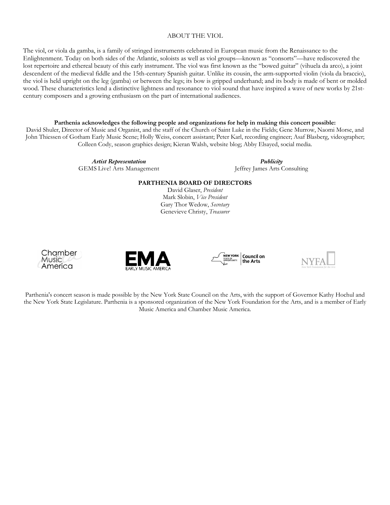# ABOUT THE VIOL

The viol, or viola da gamba, is a family of stringed instruments celebrated in European music from the Renaissance to the Enlightenment. Today on both sides of the Atlantic, soloists as well as viol groups—known as "consorts"—have rediscovered the lost repertoire and ethereal beauty of this early instrument. The viol was first known as the "bowed guitar" (vihuela da arco), a joint descendent of the medieval fiddle and the 15th-century Spanish guitar. Unlike its cousin, the arm-supported violin (viola da braccio), the viol is held upright on the leg (gamba) or between the legs; its bow is gripped underhand; and its body is made of bent or molded wood. These characteristics lend a distinctive lightness and resonance to viol sound that have inspired a wave of new works by 21stcentury composers and a growing enthusiasm on the part of international audiences.

#### **Parthenia acknowledges the following people and organizations for help in making this concert possible:**

David Shuler, Director of Music and Organist, and the staff of the Church of Saint Luke in the Fields; Gene Murrow, Naomi Morse, and John Thiessen of Gotham Early Music Scene; Holly Weiss, concert assistant; Peter Karl, recording engineer; Asaf Blasberg, videographer; Colleen Cody, season graphics design; Kieran Walsh, website blog; Abby Elsayed, social media.

> *Artist Representation* GEMS Live! Arts Management

*Publicity* Jeffrey James Arts Consulting

# **PARTHENIA BOARD OF DIRECTORS**

David Glaser, *President* Mark Slobin, *Vice President* Gary Thor Wedow, *Secretary* Genevieve Christy, *Treasurer*









Parthenia's concert season is made possible by the New York State Council on the Arts, with the support of Governor Kathy Hochul and the New York State Legislature. Parthenia is a sponsored organization of the New York Foundation for the Arts, and is a member of Early Music America and Chamber Music America.